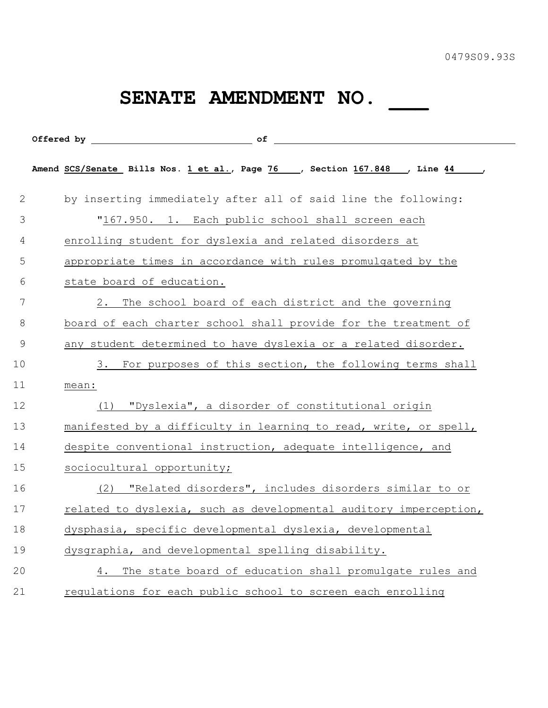## SENATE AMENDMENT NO.

|               | Offered by of                                                                      |
|---------------|------------------------------------------------------------------------------------|
|               | Amend SCS/Senate Bills Nos. 1 et al., Page 76 __, Section 167.848 __, Line 44 ___, |
| $\mathbf{2}$  | by inserting immediately after all of said line the following:                     |
| 3             | "167.950. 1. Each public school shall screen each                                  |
| 4             | enrolling student for dyslexia and related disorders at                            |
| 5             | appropriate times in accordance with rules promulgated by the                      |
| 6             | state board of education.                                                          |
| 7             | 2. The school board of each district and the governing                             |
| 8             | board of each charter school shall provide for the treatment of                    |
| $\mathcal{G}$ | any student determined to have dyslexia or a related disorder.                     |
| 10            | 3. For purposes of this section, the following terms shall                         |
| 11            | mean:                                                                              |
| 12            | "Dyslexia", a disorder of constitutional origin<br>(1)                             |
| 13            | manifested by a difficulty in learning to read, write, or spell,                   |
| 14            | despite conventional instruction, adequate intelligence, and                       |
| 15            | sociocultural opportunity;                                                         |
| 16            | "Related disorders", includes disorders similar to or<br>(2)                       |
| 17            | related to dyslexia, such as developmental auditory imperception,                  |
| 18            | dysphasia, specific developmental dyslexia, developmental                          |
| 19            | dysgraphia, and developmental spelling disability.                                 |
| 20            | 4. The state board of education shall promulgate rules and                         |
| 21            | regulations for each public school to screen each enrolling                        |